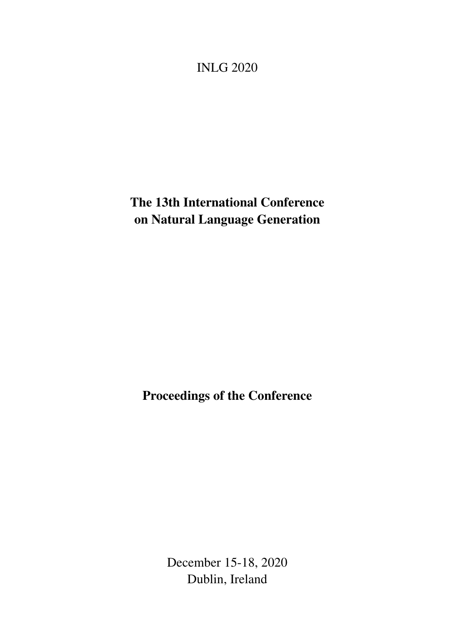<span id="page-0-0"></span>INLG 2020

The 13th International Conference on Natural Language Generation

Proceedings of the Conference

December 15-18, 2020 Dublin, Ireland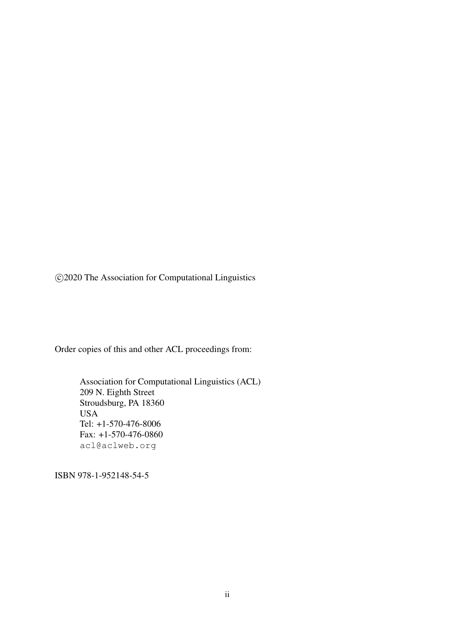c 2020 The Association for Computational Linguistics

Order copies of this and other ACL proceedings from:

Association for Computational Linguistics (ACL) 209 N. Eighth Street Stroudsburg, PA 18360 USA Tel: +1-570-476-8006 Fax: +1-570-476-0860 acl@aclweb.org

ISBN 978-1-952148-54-5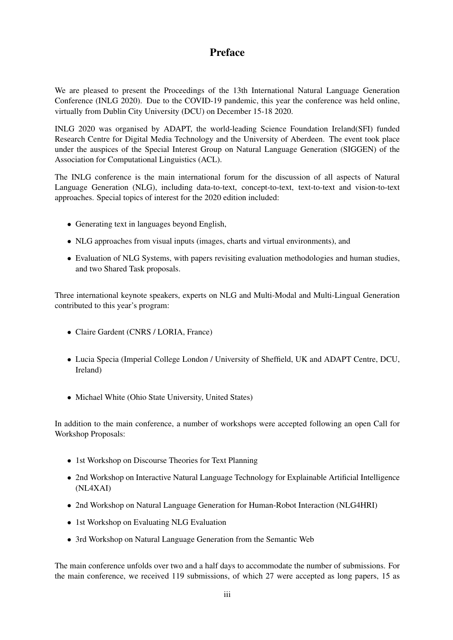# Preface

We are pleased to present the Proceedings of the 13th International Natural Language Generation Conference (INLG 2020). Due to the COVID-19 pandemic, this year the conference was held online, virtually from Dublin City University (DCU) on December 15-18 2020.

INLG 2020 was organised by ADAPT, the world-leading Science Foundation Ireland(SFI) funded Research Centre for Digital Media Technology and the University of Aberdeen. The event took place under the auspices of the Special Interest Group on Natural Language Generation (SIGGEN) of the Association for Computational Linguistics (ACL).

The INLG conference is the main international forum for the discussion of all aspects of Natural Language Generation (NLG), including data-to-text, concept-to-text, text-to-text and vision-to-text approaches. Special topics of interest for the 2020 edition included:

- Generating text in languages beyond English,
- NLG approaches from visual inputs (images, charts and virtual environments), and
- Evaluation of NLG Systems, with papers revisiting evaluation methodologies and human studies, and two Shared Task proposals.

Three international keynote speakers, experts on NLG and Multi-Modal and Multi-Lingual Generation contributed to this year's program:

- *•* Claire Gardent (CNRS / LORIA, France)
- *•* Lucia Specia (Imperial College London / University of Sheffield, UK and ADAPT Centre, DCU, Ireland)
- *•* Michael White (Ohio State University, United States)

In addition to the main conference, a number of workshops were accepted following an open Call for Workshop Proposals:

- *•* 1st Workshop on Discourse Theories for Text Planning
- 2nd Workshop on Interactive Natural Language Technology for Explainable Artificial Intelligence (NL4XAI)
- 2nd Workshop on Natural Language Generation for Human-Robot Interaction (NLG4HRI)
- *•* 1st Workshop on Evaluating NLG Evaluation
- *•* 3rd Workshop on Natural Language Generation from the Semantic Web

The main conference unfolds over two and a half days to accommodate the number of submissions. For the main conference, we received 119 submissions, of which 27 were accepted as long papers, 15 as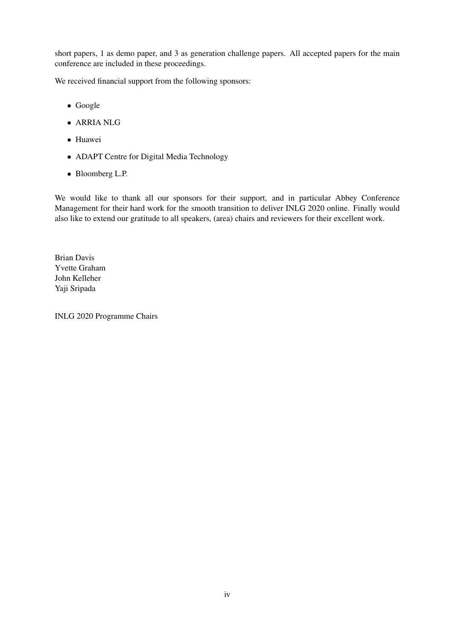short papers, 1 as demo paper, and 3 as generation challenge papers. All accepted papers for the main conference are included in these proceedings.

We received financial support from the following sponsors:

- *•* Google
- *•* ARRIA NLG
- *•* Huawei
- *•* ADAPT Centre for Digital Media Technology
- *•* Bloomberg L.P.

We would like to thank all our sponsors for their support, and in particular Abbey Conference Management for their hard work for the smooth transition to deliver INLG 2020 online. Finally would also like to extend our gratitude to all speakers, (area) chairs and reviewers for their excellent work.

Brian Davis Yvette Graham John Kelleher Yaji Sripada

INLG 2020 Programme Chairs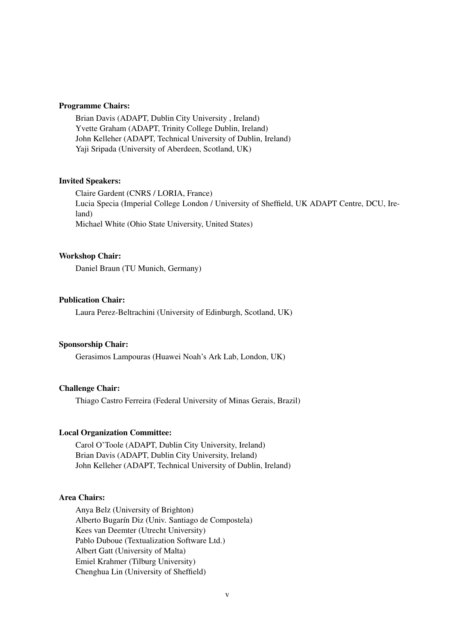#### Programme Chairs:

Brian Davis (ADAPT, Dublin City University , Ireland) Yvette Graham (ADAPT, Trinity College Dublin, Ireland) John Kelleher (ADAPT, Technical University of Dublin, Ireland) Yaji Sripada (University of Aberdeen, Scotland, UK)

#### Invited Speakers:

Claire Gardent (CNRS / LORIA, France) Lucia Specia (Imperial College London / University of Sheffield, UK ADAPT Centre, DCU, Ireland) Michael White (Ohio State University, United States)

#### Workshop Chair:

Daniel Braun (TU Munich, Germany)

## Publication Chair:

Laura Perez-Beltrachini (University of Edinburgh, Scotland, UK)

## Sponsorship Chair:

Gerasimos Lampouras (Huawei Noah's Ark Lab, London, UK)

#### Challenge Chair:

Thiago Castro Ferreira (Federal University of Minas Gerais, Brazil)

#### Local Organization Committee:

Carol O'Toole (ADAPT, Dublin City University, Ireland) Brian Davis (ADAPT, Dublin City University, Ireland) John Kelleher (ADAPT, Technical University of Dublin, Ireland)

## Area Chairs:

Anya Belz (University of Brighton) Alberto Bugarín Diz (Univ. Santiago de Compostela) Kees van Deemter (Utrecht University) Pablo Duboue (Textualization Software Ltd.) Albert Gatt (University of Malta) Emiel Krahmer (Tilburg University) Chenghua Lin (University of Sheffield)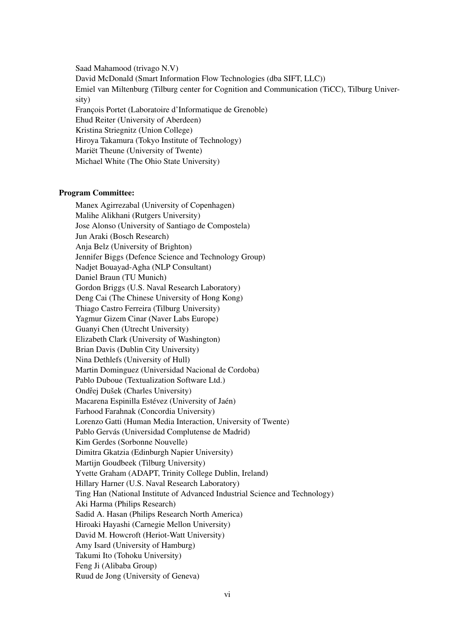Saad Mahamood (trivago N.V) David McDonald (Smart Information Flow Technologies (dba SIFT, LLC)) Emiel van Miltenburg (Tilburg center for Cognition and Communication (TiCC), Tilburg University) François Portet (Laboratoire d'Informatique de Grenoble) Ehud Reiter (University of Aberdeen) Kristina Striegnitz (Union College) Hiroya Takamura (Tokyo Institute of Technology) Mariët Theune (University of Twente) Michael White (The Ohio State University)

#### Program Committee:

Manex Agirrezabal (University of Copenhagen) Malihe Alikhani (Rutgers University) Jose Alonso (University of Santiago de Compostela) Jun Araki (Bosch Research) Anja Belz (University of Brighton) Jennifer Biggs (Defence Science and Technology Group) Nadjet Bouayad-Agha (NLP Consultant) Daniel Braun (TU Munich) Gordon Briggs (U.S. Naval Research Laboratory) Deng Cai (The Chinese University of Hong Kong) Thiago Castro Ferreira (Tilburg University) Yagmur Gizem Cinar (Naver Labs Europe) Guanyi Chen (Utrecht University) Elizabeth Clark (University of Washington) Brian Davis (Dublin City University) Nina Dethlefs (University of Hull) Martin Dominguez (Universidad Nacional de Cordoba) Pablo Duboue (Textualization Software Ltd.) Ondřej Dušek (Charles University) Macarena Espinilla Estévez (University of Jaén) Farhood Farahnak (Concordia University) Lorenzo Gatti (Human Media Interaction, University of Twente) Pablo Gervás (Universidad Complutense de Madrid) Kim Gerdes (Sorbonne Nouvelle) Dimitra Gkatzia (Edinburgh Napier University) Martijn Goudbeek (Tilburg University) Yvette Graham (ADAPT, Trinity College Dublin, Ireland) Hillary Harner (U.S. Naval Research Laboratory) Ting Han (National Institute of Advanced Industrial Science and Technology) Aki Harma (Philips Research) Sadid A. Hasan (Philips Research North America) Hiroaki Hayashi (Carnegie Mellon University) David M. Howcroft (Heriot-Watt University) Amy Isard (University of Hamburg) Takumi Ito (Tohoku University) Feng Ji (Alibaba Group) Ruud de Jong (University of Geneva)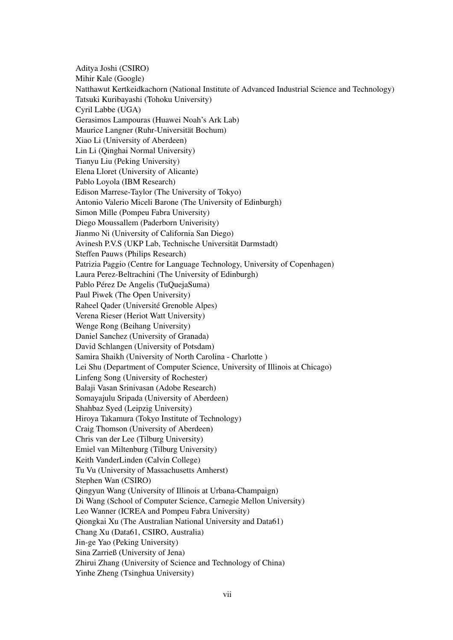Aditya Joshi (CSIRO) Mihir Kale (Google) Natthawut Kertkeidkachorn (National Institute of Advanced Industrial Science and Technology) Tatsuki Kuribayashi (Tohoku University) Cyril Labbe (UGA) Gerasimos Lampouras (Huawei Noah's Ark Lab) Maurice Langner (Ruhr-Universität Bochum) Xiao Li (University of Aberdeen) Lin Li (Qinghai Normal University) Tianyu Liu (Peking University) Elena Lloret (University of Alicante) Pablo Loyola (IBM Research) Edison Marrese-Taylor (The University of Tokyo) Antonio Valerio Miceli Barone (The University of Edinburgh) Simon Mille (Pompeu Fabra University) Diego Moussallem (Paderborn Univerisity) Jianmo Ni (University of California San Diego) Avinesh P.V.S (UKP Lab, Technische Universität Darmstadt) Steffen Pauws (Philips Research) Patrizia Paggio (Centre for Language Technology, University of Copenhagen) Laura Perez-Beltrachini (The University of Edinburgh) Pablo Pérez De Angelis (TuQuejaSuma) Paul Piwek (The Open University) Raheel Qader (Université Grenoble Alpes) Verena Rieser (Heriot Watt University) Wenge Rong (Beihang University) Daniel Sanchez (University of Granada) David Schlangen (University of Potsdam) Samira Shaikh (University of North Carolina - Charlotte ) Lei Shu (Department of Computer Science, University of Illinois at Chicago) Linfeng Song (University of Rochester) Balaji Vasan Srinivasan (Adobe Research) Somayajulu Sripada (University of Aberdeen) Shahbaz Syed (Leipzig University) Hiroya Takamura (Tokyo Institute of Technology) Craig Thomson (University of Aberdeen) Chris van der Lee (Tilburg University) Emiel van Miltenburg (Tilburg University) Keith VanderLinden (Calvin College) Tu Vu (University of Massachusetts Amherst) Stephen Wan (CSIRO) Qingyun Wang (University of Illinois at Urbana-Champaign) Di Wang (School of Computer Science, Carnegie Mellon University) Leo Wanner (ICREA and Pompeu Fabra University) Qiongkai Xu (The Australian National University and Data61) Chang Xu (Data61, CSIRO, Australia) Jin-ge Yao (Peking University) Sina Zarrieß (University of Jena) Zhirui Zhang (University of Science and Technology of China) Yinhe Zheng (Tsinghua University)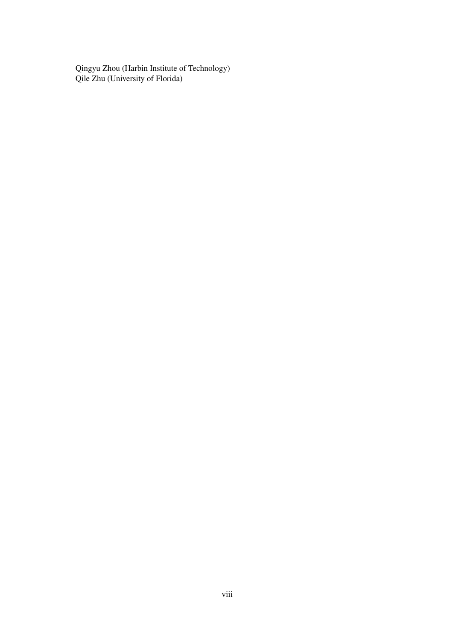Qingyu Zhou (Harbin Institute of Technology) Qile Zhu (University of Florida)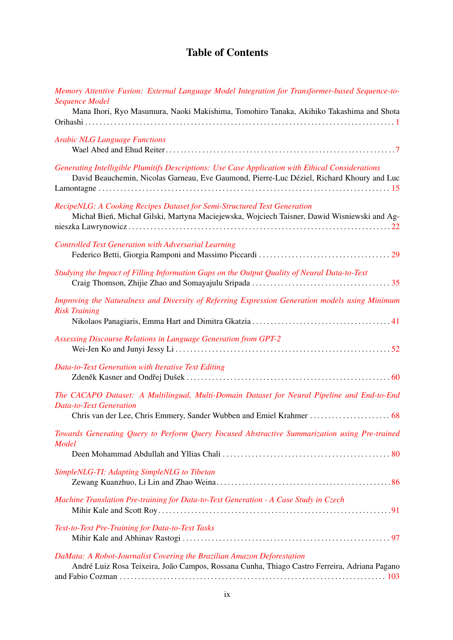# Table of Contents

| Memory Attentive Fusion: External Language Model Integration for Transformer-based Sequence-to-<br><b>Sequence Model</b><br>Mana Ihori, Ryo Masumura, Naoki Makishima, Tomohiro Tanaka, Akihiko Takashima and Shota |
|---------------------------------------------------------------------------------------------------------------------------------------------------------------------------------------------------------------------|
|                                                                                                                                                                                                                     |
| <b>Arabic NLG Language Functions</b>                                                                                                                                                                                |
| Generating Intelligible Plumitifs Descriptions: Use Case Application with Ethical Considerations<br>David Beauchemin, Nicolas Garneau, Eve Gaumond, Pierre-Luc Déziel, Richard Khoury and Luc                       |
| RecipeNLG: A Cooking Recipes Dataset for Semi-Structured Text Generation<br>Michał Bień, Michał Gilski, Martyna Maciejewska, Wojciech Taisner, Dawid Wisniewski and Ag-                                             |
| <b>Controlled Text Generation with Adversarial Learning</b>                                                                                                                                                         |
| Studying the Impact of Filling Information Gaps on the Output Quality of Neural Data-to-Text                                                                                                                        |
| Improving the Naturalness and Diversity of Referring Expression Generation models using Minimum<br><b>Risk Training</b>                                                                                             |
| Assessing Discourse Relations in Language Generation from GPT-2                                                                                                                                                     |
| Data-to-Text Generation with Iterative Text Editing                                                                                                                                                                 |
| The CACAPO Dataset: A Multilingual, Multi-Domain Dataset for Neural Pipeline and End-to-End<br><b>Data-to-Text Generation</b><br>Chris van der Lee, Chris Emmery, Sander Wubben and Emiel Krahmer  68               |
| Towards Generating Query to Perform Query Focused Abstractive Summarization using Pre-trained<br><b>Model</b>                                                                                                       |
| SimpleNLG-TI: Adapting SimpleNLG to Tibetan                                                                                                                                                                         |
| Machine Translation Pre-training for Data-to-Text Generation - A Case Study in Czech                                                                                                                                |
| Text-to-Text Pre-Training for Data-to-Text Tasks                                                                                                                                                                    |
| DaMata: A Robot-Journalist Covering the Brazilian Amazon Deforestation<br>André Luiz Rosa Teixeira, João Campos, Rossana Cunha, Thiago Castro Ferreira, Adriana Pagano                                              |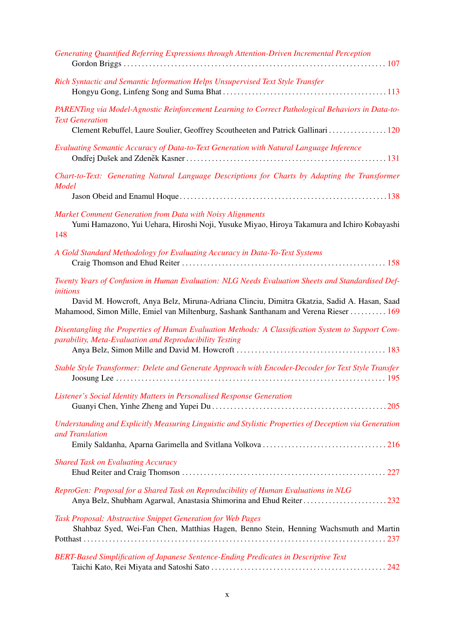| Generating Quantified Referring Expressions through Attention-Driven Incremental Perception                                                                                                                                                                                                          |
|------------------------------------------------------------------------------------------------------------------------------------------------------------------------------------------------------------------------------------------------------------------------------------------------------|
| Rich Syntactic and Semantic Information Helps Unsupervised Text Style Transfer                                                                                                                                                                                                                       |
| PARENTing via Model-Agnostic Reinforcement Learning to Correct Pathological Behaviors in Data-to-<br><b>Text Generation</b><br>Clement Rebuffel, Laure Soulier, Geoffrey Scoutheeten and Patrick Gallinari  120                                                                                      |
| Evaluating Semantic Accuracy of Data-to-Text Generation with Natural Language Inference                                                                                                                                                                                                              |
| Chart-to-Text: Generating Natural Language Descriptions for Charts by Adapting the Transformer<br><b>Model</b>                                                                                                                                                                                       |
|                                                                                                                                                                                                                                                                                                      |
| Market Comment Generation from Data with Noisy Alignments<br>Yumi Hamazono, Yui Uehara, Hiroshi Noji, Yusuke Miyao, Hiroya Takamura and Ichiro Kobayashi<br>148                                                                                                                                      |
| A Gold Standard Methodology for Evaluating Accuracy in Data-To-Text Systems                                                                                                                                                                                                                          |
| Twenty Years of Confusion in Human Evaluation: NLG Needs Evaluation Sheets and Standardised Def-<br>initions<br>David M. Howcroft, Anya Belz, Miruna-Adriana Clinciu, Dimitra Gkatzia, Sadid A. Hasan, Saad<br>Mahamood, Simon Mille, Emiel van Miltenburg, Sashank Santhanam and Verena Rieser  169 |
| Disentangling the Properties of Human Evaluation Methods: A Classification System to Support Com-<br>parability, Meta-Evaluation and Reproducibility Testing                                                                                                                                         |
|                                                                                                                                                                                                                                                                                                      |
| Stable Style Transformer: Delete and Generate Approach with Encoder-Decoder for Text Style Transfer                                                                                                                                                                                                  |
| Listener's Social Identity Matters in Personalised Response Generation                                                                                                                                                                                                                               |
| Understanding and Explicitly Measuring Linguistic and Stylistic Properties of Deception via Generation<br>and Translation                                                                                                                                                                            |
| <b>Shared Task on Evaluating Accuracy</b>                                                                                                                                                                                                                                                            |
| ReproGen: Proposal for a Shared Task on Reproducibility of Human Evaluations in NLG<br>Anya Belz, Shubham Agarwal, Anastasia Shimorina and Ehud Reiter 232                                                                                                                                           |
| Task Proposal: Abstractive Snippet Generation for Web Pages<br>Shahbaz Syed, Wei-Fan Chen, Matthias Hagen, Benno Stein, Henning Wachsmuth and Martin                                                                                                                                                 |
| BERT-Based Simplification of Japanese Sentence-Ending Predicates in Descriptive Text                                                                                                                                                                                                                 |
|                                                                                                                                                                                                                                                                                                      |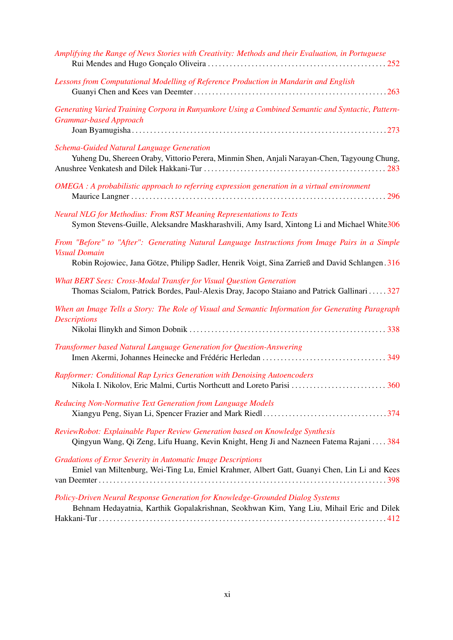| Amplifying the Range of News Stories with Creativity: Methods and their Evaluation, in Portuguese                                                                                                                          |
|----------------------------------------------------------------------------------------------------------------------------------------------------------------------------------------------------------------------------|
| Lessons from Computational Modelling of Reference Production in Mandarin and English                                                                                                                                       |
| Generating Varied Training Corpora in Runyankore Using a Combined Semantic and Syntactic, Pattern-<br><b>Grammar-based Approach</b>                                                                                        |
| Schema-Guided Natural Language Generation<br>Yuheng Du, Shereen Oraby, Vittorio Perera, Minmin Shen, Anjali Narayan-Chen, Tagyoung Chung,                                                                                  |
| OMEGA : A probabilistic approach to referring expression generation in a virtual environment                                                                                                                               |
| Neural NLG for Methodius: From RST Meaning Representations to Texts<br>Symon Stevens-Guille, Aleksandre Maskharashvili, Amy Isard, Xintong Li and Michael White306                                                         |
| From "Before" to "After": Generating Natural Language Instructions from Image Pairs in a Simple<br><b>Visual Domain</b><br>Robin Rojowiec, Jana Götze, Philipp Sadler, Henrik Voigt, Sina Zarrieß and David Schlangen. 316 |
| What BERT Sees: Cross-Modal Transfer for Visual Question Generation<br>Thomas Scialom, Patrick Bordes, Paul-Alexis Dray, Jacopo Staiano and Patrick Gallinari  327                                                         |
| When an Image Tells a Story: The Role of Visual and Semantic Information for Generating Paragraph<br><b>Descriptions</b>                                                                                                   |
| Transformer based Natural Language Generation for Question-Answering                                                                                                                                                       |
| Rapformer: Conditional Rap Lyrics Generation with Denoising Autoencoders                                                                                                                                                   |
| Reducing Non-Normative Text Generation from Language Models<br>Xiangyu Peng, Siyan Li, Spencer Frazier and Mark Riedl374                                                                                                   |
| ReviewRobot: Explainable Paper Review Generation based on Knowledge Synthesis<br>Qingyun Wang, Qi Zeng, Lifu Huang, Kevin Knight, Heng Ji and Nazneen Fatema Rajani  384                                                   |
| <b>Gradations of Error Severity in Automatic Image Descriptions</b><br>Emiel van Miltenburg, Wei-Ting Lu, Emiel Krahmer, Albert Gatt, Guanyi Chen, Lin Li and Kees                                                         |
| Policy-Driven Neural Response Generation for Knowledge-Grounded Dialog Systems<br>Behnam Hedayatnia, Karthik Gopalakrishnan, Seokhwan Kim, Yang Liu, Mihail Eric and Dilek                                                 |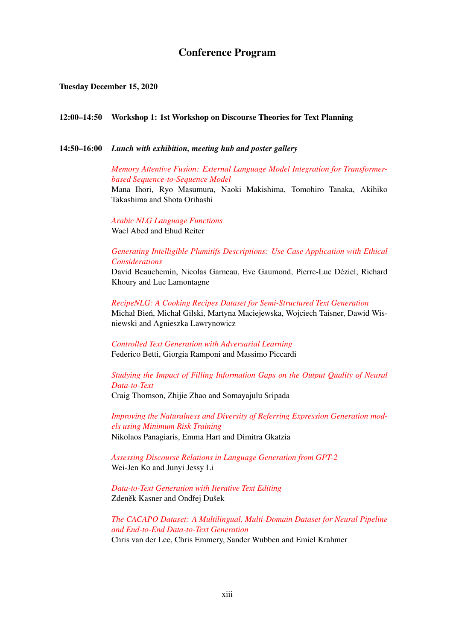## Conference Program

#### Tuesday December 15, 2020

#### 12:00–14:50 Workshop 1: 1st Workshop on Discourse Theories for Text Planning

## 14:50–16:00 *Lunch with exhibition, meeting hub and poster gallery*

## *[Memory Attentive Fusion: External Language Model Integration for Transformer](#page-0-0)[based Sequence-to-Sequence Model](#page-0-0)*

Mana Ihori, Ryo Masumura, Naoki Makishima, Tomohiro Tanaka, Akihiko Takashima and Shota Orihashi

*[Arabic NLG Language Functions](#page-0-0)* Wael Abed and Ehud Reiter

## *[Generating Intelligible Plumitifs Descriptions: Use Case Application with Ethical](#page-0-0) [Considerations](#page-0-0)*

David Beauchemin, Nicolas Garneau, Eve Gaumond, Pierre-Luc Déziel, Richard Khoury and Luc Lamontagne

*[RecipeNLG: A Cooking Recipes Dataset for Semi-Structured Text Generation](#page-0-0)* Michał Bień, Michał Gilski, Martyna Maciejewska, Wojciech Taisner, Dawid Wisniewski and Agnieszka Lawrynowicz

*[Controlled Text Generation with Adversarial Learning](#page-0-0)* Federico Betti, Giorgia Ramponi and Massimo Piccardi

*[Studying the Impact of Filling Information Gaps on the Output Quality of Neural](#page-0-0) [Data-to-Text](#page-0-0)*

Craig Thomson, Zhijie Zhao and Somayajulu Sripada

*[Improving the Naturalness and Diversity of Referring Expression Generation mod](#page-0-0)[els using Minimum Risk Training](#page-0-0)* Nikolaos Panagiaris, Emma Hart and Dimitra Gkatzia

*[Assessing Discourse Relations in Language Generation from GPT-2](#page-0-0)* Wei-Jen Ko and Junyi Jessy Li

*[Data-to-Text Generation with Iterative Text Editing](#page-0-0)* Zdeněk Kasner and Ondřej Dušek

*[The CACAPO Dataset: A Multilingual, Multi-Domain Dataset for Neural Pipeline](#page-0-0) [and End-to-End Data-to-Text Generation](#page-0-0)* Chris van der Lee, Chris Emmery, Sander Wubben and Emiel Krahmer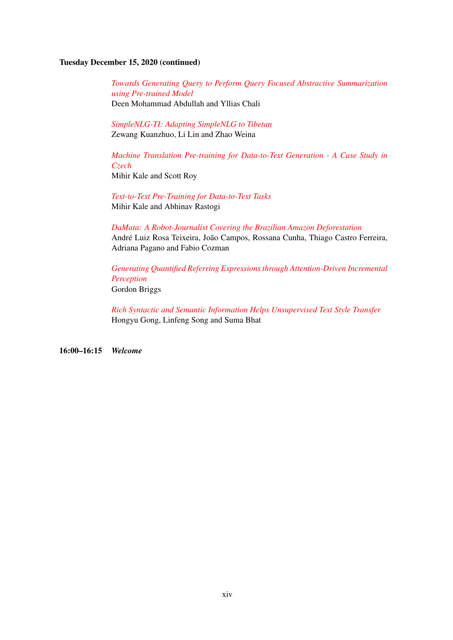## Tuesday December 15, 2020 (continued)

*[Towards Generating Query to Perform Query Focused Abstractive Summarization](#page-0-0) [using Pre-trained Model](#page-0-0)* Deen Mohammad Abdullah and Yllias Chali

*[SimpleNLG-TI: Adapting SimpleNLG to Tibetan](#page-0-0)* Zewang Kuanzhuo, Li Lin and Zhao Weina

*[Machine Translation Pre-training for Data-to-Text Generation - A Case Study in](#page-0-0) [Czech](#page-0-0)*

Mihir Kale and Scott Roy

*[Text-to-Text Pre-Training for Data-to-Text Tasks](#page-0-0)* Mihir Kale and Abhinav Rastogi

*[DaMata: A Robot-Journalist Covering the Brazilian Amazon Deforestation](#page-0-0)* André Luiz Rosa Teixeira, João Campos, Rossana Cunha, Thiago Castro Ferreira, Adriana Pagano and Fabio Cozman

*[Generating Quantified Referring Expressions through Attention-Driven Incremental](#page-0-0) [Perception](#page-0-0)* Gordon Briggs

*[Rich Syntactic and Semantic Information Helps Unsupervised Text Style Transfer](#page-0-0)* Hongyu Gong, Linfeng Song and Suma Bhat

16:00–16:15 *Welcome*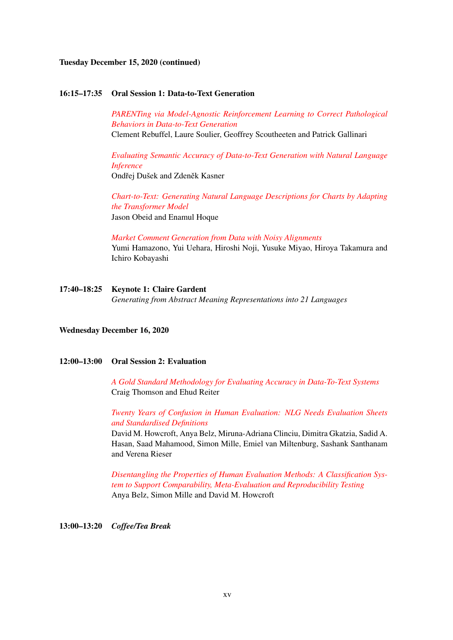## Tuesday December 15, 2020 (continued)

#### 16:15–17:35 Oral Session 1: Data-to-Text Generation

*[PARENTing via Model-Agnostic Reinforcement Learning to Correct Pathological](#page-0-0) [Behaviors in Data-to-Text Generation](#page-0-0)* Clement Rebuffel, Laure Soulier, Geoffrey Scoutheeten and Patrick Gallinari

*[Evaluating Semantic Accuracy of Data-to-Text Generation with Natural Language](#page-0-0) [Inference](#page-0-0)* Ondřej Dušek and Zdeněk Kasner

*[Chart-to-Text: Generating Natural Language Descriptions for Charts by Adapting](#page-0-0) [the Transformer Model](#page-0-0)* Jason Obeid and Enamul Hoque

*[Market Comment Generation from Data with Noisy Alignments](#page-0-0)* Yumi Hamazono, Yui Uehara, Hiroshi Noji, Yusuke Miyao, Hiroya Takamura and Ichiro Kobayashi

17:40–18:25 Keynote 1: Claire Gardent *Generating from Abstract Meaning Representations into 21 Languages*

#### Wednesday December 16, 2020

## 12:00–13:00 Oral Session 2: Evaluation

*[A Gold Standard Methodology for Evaluating Accuracy in Data-To-Text Systems](#page-0-0)* Craig Thomson and Ehud Reiter

*[Twenty Years of Confusion in Human Evaluation: NLG Needs Evaluation Sheets](#page-0-0) [and Standardised Definitions](#page-0-0)*

David M. Howcroft, Anya Belz, Miruna-Adriana Clinciu, Dimitra Gkatzia, Sadid A. Hasan, Saad Mahamood, Simon Mille, Emiel van Miltenburg, Sashank Santhanam and Verena Rieser

*[Disentangling the Properties of Human Evaluation Methods: A Classification Sys](#page-0-0)[tem to Support Comparability, Meta-Evaluation and Reproducibility Testing](#page-0-0)* Anya Belz, Simon Mille and David M. Howcroft

13:00–13:20 *Coffee/Tea Break*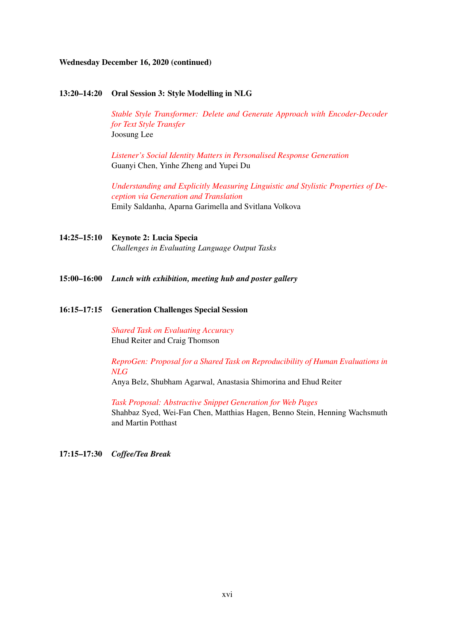## Wednesday December 16, 2020 (continued)

#### 13:20–14:20 Oral Session 3: Style Modelling in NLG

*[Stable Style Transformer: Delete and Generate Approach with Encoder-Decoder](#page-0-0) [for Text Style Transfer](#page-0-0)* Joosung Lee

*[Listener's Social Identity Matters in Personalised Response Generation](#page-0-0)* Guanyi Chen, Yinhe Zheng and Yupei Du

*[Understanding and Explicitly Measuring Linguistic and Stylistic Properties of De](#page-0-0)[ception via Generation and Translation](#page-0-0)* Emily Saldanha, Aparna Garimella and Svitlana Volkova

- 14:25–15:10 Keynote 2: Lucia Specia *Challenges in Evaluating Language Output Tasks*
- 15:00–16:00 *Lunch with exhibition, meeting hub and poster gallery*

#### 16:15–17:15 Generation Challenges Special Session

*[Shared Task on Evaluating Accuracy](#page-0-0)* Ehud Reiter and Craig Thomson

*[ReproGen: Proposal for a Shared Task on Reproducibility of Human Evaluations in](#page-0-0) [NLG](#page-0-0)*

Anya Belz, Shubham Agarwal, Anastasia Shimorina and Ehud Reiter

*[Task Proposal: Abstractive Snippet Generation for Web Pages](#page-0-0)* Shahbaz Syed, Wei-Fan Chen, Matthias Hagen, Benno Stein, Henning Wachsmuth and Martin Potthast

17:15–17:30 *Coffee/Tea Break*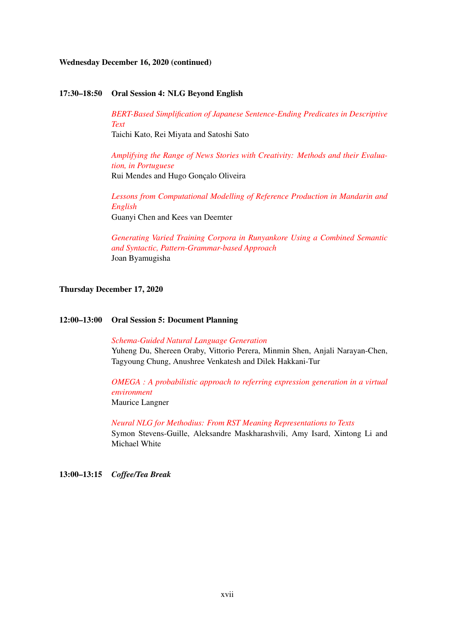## Wednesday December 16, 2020 (continued)

#### 17:30–18:50 Oral Session 4: NLG Beyond English

*[BERT-Based Simplification of Japanese Sentence-Ending Predicates in Descriptive](#page-0-0) [Text](#page-0-0)*

Taichi Kato, Rei Miyata and Satoshi Sato

*[Amplifying the Range of News Stories with Creativity: Methods and their Evalua](#page-0-0)[tion, in Portuguese](#page-0-0)* Rui Mendes and Hugo Gonçalo Oliveira

*[Lessons from Computational Modelling of Reference Production in Mandarin and](#page-0-0) [English](#page-0-0)* Guanyi Chen and Kees van Deemter

*[Generating Varied Training Corpora in Runyankore Using a Combined Semantic](#page-0-0) [and Syntactic, Pattern-Grammar-based Approach](#page-0-0)* Joan Byamugisha

## Thursday December 17, 2020

#### 12:00–13:00 Oral Session 5: Document Planning

*[Schema-Guided Natural Language Generation](#page-0-0)* Yuheng Du, Shereen Oraby, Vittorio Perera, Minmin Shen, Anjali Narayan-Chen, Tagyoung Chung, Anushree Venkatesh and Dilek Hakkani-Tur

*[OMEGA : A probabilistic approach to referring expression generation in a virtual](#page-0-0) [environment](#page-0-0)* Maurice Langner

*[Neural NLG for Methodius: From RST Meaning Representations to Texts](#page-0-0)* Symon Stevens-Guille, Aleksandre Maskharashvili, Amy Isard, Xintong Li and Michael White

13:00–13:15 *Coffee/Tea Break*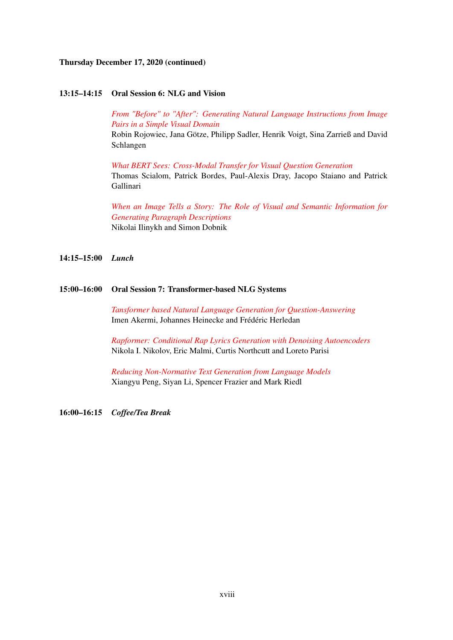## Thursday December 17, 2020 (continued)

#### 13:15–14:15 Oral Session 6: NLG and Vision

*[From "Before" to "After": Generating Natural Language Instructions from Image](#page-0-0) [Pairs in a Simple Visual Domain](#page-0-0)* Robin Rojowiec, Jana Götze, Philipp Sadler, Henrik Voigt, Sina Zarrieß and David Schlangen

*[What BERT Sees: Cross-Modal Transfer for Visual Question Generation](#page-0-0)* Thomas Scialom, Patrick Bordes, Paul-Alexis Dray, Jacopo Staiano and Patrick Gallinari

*[When an Image Tells a Story: The Role of Visual and Semantic Information for](#page-0-0) [Generating Paragraph Descriptions](#page-0-0)* Nikolai Ilinykh and Simon Dobnik

#### 14:15–15:00 *Lunch*

## 15:00–16:00 Oral Session 7: Transformer-based NLG Systems

*[Tansformer based Natural Language Generation for Question-Answering](#page-0-0)* Imen Akermi, Johannes Heinecke and Frédéric Herledan

*[Rapformer: Conditional Rap Lyrics Generation with Denoising Autoencoders](#page-0-0)* Nikola I. Nikolov, Eric Malmi, Curtis Northcutt and Loreto Parisi

*[Reducing Non-Normative Text Generation from Language Models](#page-0-0)* Xiangyu Peng, Siyan Li, Spencer Frazier and Mark Riedl

16:00–16:15 *Coffee/Tea Break*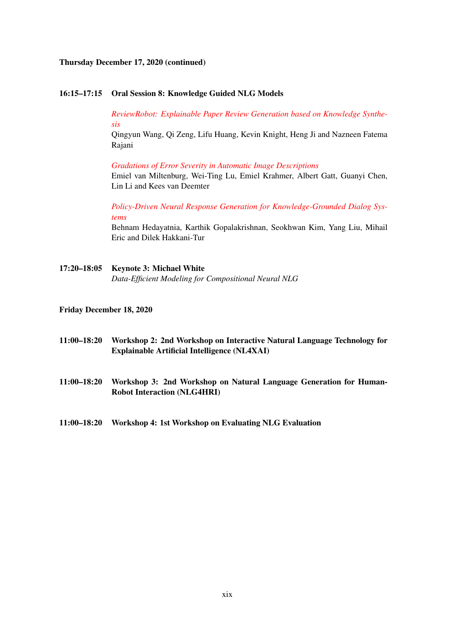## Thursday December 17, 2020 (continued)

## 16:15–17:15 Oral Session 8: Knowledge Guided NLG Models

*[ReviewRobot: Explainable Paper Review Generation based on Knowledge Synthe](#page-0-0)[sis](#page-0-0)*

Qingyun Wang, Qi Zeng, Lifu Huang, Kevin Knight, Heng Ji and Nazneen Fatema Rajani

*[Gradations of Error Severity in Automatic Image Descriptions](#page-0-0)*

Emiel van Miltenburg, Wei-Ting Lu, Emiel Krahmer, Albert Gatt, Guanyi Chen, Lin Li and Kees van Deemter

*[Policy-Driven Neural Response Generation for Knowledge-Grounded Dialog Sys](#page-0-0)[tems](#page-0-0)*

Behnam Hedayatnia, Karthik Gopalakrishnan, Seokhwan Kim, Yang Liu, Mihail Eric and Dilek Hakkani-Tur

17:20–18:05 Keynote 3: Michael White *Data-Efficient Modeling for Compositional Neural NLG*

#### Friday December 18, 2020

- 11:00–18:20 Workshop 2: 2nd Workshop on Interactive Natural Language Technology for Explainable Artificial Intelligence (NL4XAI)
- 11:00–18:20 Workshop 3: 2nd Workshop on Natural Language Generation for Human-Robot Interaction (NLG4HRI)
- 11:00–18:20 Workshop 4: 1st Workshop on Evaluating NLG Evaluation